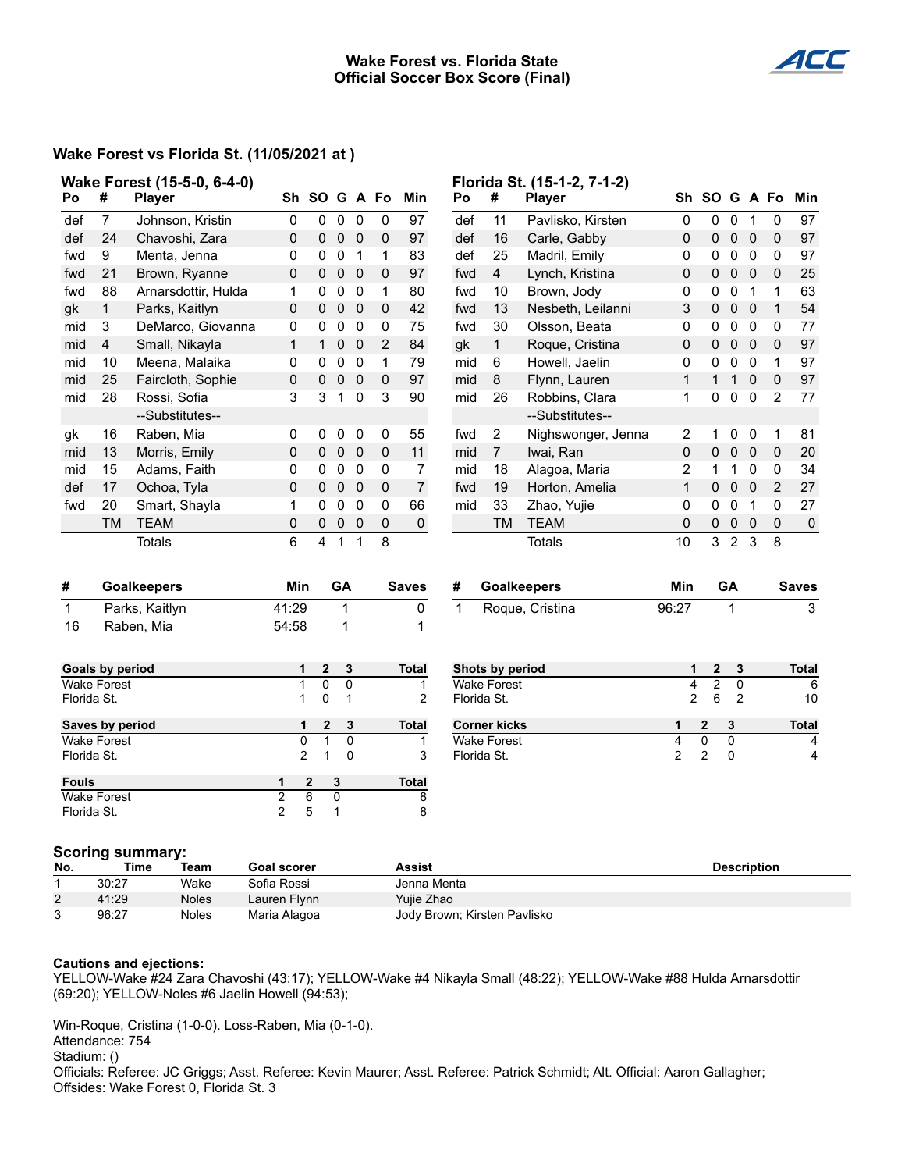### **Wake Forest vs. Florida State Official Soccer Box Score (Final)**



# **Wake Forest vs Florida St. (11/05/2021 at )**

|                                   |                                                               | Wake Forest (15-5-0, 6-4-0)  |                                  |                |                                                          |                |                |                              |              |                     | Florida St. (15-1-2, 7-1-2) |                     |                |                |                    |                  |              |  |
|-----------------------------------|---------------------------------------------------------------|------------------------------|----------------------------------|----------------|----------------------------------------------------------|----------------|----------------|------------------------------|--------------|---------------------|-----------------------------|---------------------|----------------|----------------|--------------------|------------------|--------------|--|
| Po                                | #                                                             | <b>Player</b>                |                                  | Sh SO G A Fo   |                                                          |                |                | Min                          | Po           | #                   | <b>Player</b>               | Sh                  | <b>SO</b>      | G              | A                  | Fo               | Min          |  |
| def                               | 7                                                             | Johnson, Kristin             | 0                                | 0              | 0                                                        | $\mathbf 0$    | 0              | 97                           | def          | 11                  | Pavlisko, Kirsten           | 0                   | 0              | $\mathbf 0$    | $\mathbf{1}$       | 0                | 97           |  |
| def                               | 24                                                            | Chavoshi, Zara               | $\mathbf 0$                      | $\pmb{0}$      | $\mathbf 0$                                              | $\mathbf 0$    | $\pmb{0}$      | 97                           | def          | 16                  | Carle, Gabby                | $\pmb{0}$           | 0              | $\pmb{0}$      | 0                  | $\mathbf 0$      | 97           |  |
| fwd                               | 9                                                             | Menta, Jenna                 | 0                                | 0              | $\mathbf 0$                                              | $\overline{1}$ | 1              | 83                           | def          | 25                  | Madril, Emily               | 0                   | 0              | $\pmb{0}$      | $\mathbf 0$        | 0                | 97           |  |
| fwd                               | 21                                                            | Brown, Ryanne                | 0                                | 0              | 0                                                        | $\mathbf 0$    | 0              | 97                           | fwd          | $\overline{4}$      | Lynch, Kristina             | 0                   | $\mathbf{0}$   | $\pmb{0}$      | $\mathbf 0$        | 0                | 25           |  |
| fwd                               | 88                                                            | Arnarsdottir, Hulda          | 1                                | 0              | 0                                                        | $\mathbf 0$    | 1              | 80                           | fwd          | 10                  | Brown, Jody                 | 0                   | 0              | 0              | $\mathbf 1$        | 1                | 63           |  |
| gk                                | $\mathbf{1}$                                                  | Parks, Kaitlyn               | 0                                | 0              | $\mathbf 0$                                              | 0              | 0              | 42                           | fwd          | 13                  | Nesbeth, Leilanni           | 3                   | $\mathbf 0$    | $\pmb{0}$      | $\mathbf 0$        | $\mathbf{1}$     | 54           |  |
| mid                               | 3                                                             | DeMarco, Giovanna            | 0                                | 0              | 0                                                        | $\overline{0}$ | 0              | 75                           | fwd          | 30                  | Olsson, Beata               | 0                   | 0              | $\pmb{0}$      | 0                  | 0                | 77           |  |
| mid                               | 4                                                             | Small, Nikayla               | $\mathbf{1}$                     | $\mathbf{1}$   | 0                                                        | $\mathbf 0$    | $\overline{2}$ | 84                           | gk           | 1                   | Roque, Cristina             | 0                   | 0              | 0              | 0                  | $\Omega$         | 97           |  |
| mid                               | 10                                                            | Meena, Malaika               | 0                                | 0              | $\mathbf 0$                                              | $\mathbf 0$    | 1              | 79                           | mid          | 6                   | Howell, Jaelin              | 0                   | 0              | $\pmb{0}$      | $\mathbf 0$        | $\mathbf{1}$     | 97           |  |
| mid                               | 25                                                            | Faircloth, Sophie            | 0                                | 0              | $\mathbf 0$<br>0<br>8<br>0<br>97<br>mid<br>Flynn, Lauren |                | $\mathbf{1}$   | $\mathbf{1}$                 | $\mathbf{1}$ | $\mathbf 0$         | $\mathbf 0$                 | 97                  |                |                |                    |                  |              |  |
| mid                               | 28                                                            | Rossi, Sofia                 | 3                                | 3              | $\mathbf{1}$                                             | $\mathbf 0$    | 3              | 90                           | mid          | 26                  | Robbins, Clara              | 1                   | 0              | 0              | 0                  | $\overline{2}$   | 77           |  |
|                                   |                                                               | --Substitutes--              | --Substitutes--                  |                |                                                          |                |                |                              |              |                     |                             |                     |                |                |                    |                  |              |  |
| gk                                | 16                                                            | Raben, Mia                   | 0                                | 0              | 0                                                        | 0              | 0              | 55                           | fwd          | $\overline{2}$      | Nighswonger, Jenna          | $\boldsymbol{2}$    | $\mathbf 1$    | 0              | 0                  | 1                | 81           |  |
| mid                               | 13                                                            | Morris, Emily                | 0                                | 0              | $\pmb{0}$                                                | $\mathbf 0$    | 0              | 11                           | mid          | $\overline{7}$      | Iwai, Ran                   | 0<br>$\overline{2}$ | 0              | $\pmb{0}$      | $\mathbf 0$        | 0<br>$\mathbf 0$ | 20           |  |
| mid                               | 15                                                            | Adams, Faith                 | 0                                | 0              | 0                                                        | $\mathbf 0$    | 0              | $\overline{7}$               | mid          | 18                  | Alagoa, Maria               |                     | $\mathbf 1$    | $\mathbf{1}$   | $\mathbf 0$        |                  | 34           |  |
| def                               | 17                                                            | Ochoa, Tyla                  | 0                                | 0              | $\mathsf{O}\xspace$                                      | $\mathbf 0$    | 0              | $\overline{7}$               | fwd          | 19                  | Horton, Amelia              | $\mathbf{1}$        | 0              | 0              | $\mathbf 0$        | 2                | 27           |  |
| fwd                               | 20                                                            | Smart, Shayla                | 1                                | 0              | 0                                                        | 0              | 0              | 66                           | mid          | 33                  | Zhao, Yujie                 | 0                   | 0              | 0              | $\mathbf{1}$       | 0                | 27           |  |
|                                   | TM                                                            | <b>TEAM</b>                  | 0                                | 0              | 0                                                        | $\mathbf 0$    | $\pmb{0}$      | $\mathbf 0$                  |              | TM                  | <b>TEAM</b>                 | 0                   | $\mathbf 0$    | $\pmb{0}$      | $\boldsymbol{0}$   | $\mathbf 0$      | $\pmb{0}$    |  |
|                                   |                                                               | <b>Totals</b>                | 6                                | 4              | $\mathbf{1}$                                             | $\mathbf{1}$   | 8              |                              |              |                     | <b>Totals</b>               | 10                  | 3              | $\overline{2}$ | 3                  | 8                |              |  |
|                                   |                                                               |                              |                                  |                |                                                          |                |                |                              |              |                     |                             |                     |                |                |                    |                  |              |  |
| #                                 | <b>Goalkeepers</b>                                            |                              | Min<br>GА                        |                |                                                          |                | <b>Saves</b>   | #<br><b>Goalkeepers</b>      |              |                     | Min                         | GА                  |                |                |                    | <b>Saves</b>     |              |  |
| $\mathbf{1}$                      | Parks, Kaitlyn                                                |                              | 41:29                            |                | 1                                                        |                |                | $\pmb{0}$                    | $\mathbf{1}$ |                     | Roque, Cristina             | 96:27               |                | $\mathbf{1}$   |                    |                  | 3            |  |
| 16                                | Raben, Mia                                                    | 54:58                        |                                  | 1              |                                                          |                | 1              |                              |              |                     |                             |                     |                |                |                    |                  |              |  |
|                                   |                                                               |                              |                                  |                |                                                          |                |                |                              |              |                     |                             |                     |                |                |                    |                  |              |  |
|                                   | Goals by period                                               |                              | 1                                | $\mathbf{2}$   |                                                          | 3              |                | Total                        |              | Shots by period     |                             | 1                   | $\mathbf{2}$   | 3              |                    |                  | <b>Total</b> |  |
|                                   | <b>Wake Forest</b>                                            |                              | 1                                | $\mathbf 0$    |                                                          | $\pmb{0}$      |                | 1                            |              | <b>Wake Forest</b>  |                             | 4                   | $\overline{2}$ | 0              |                    |                  | 6            |  |
| Florida St.                       |                                                               |                              | 1                                | $\Omega$       |                                                          | $\mathbf{1}$   |                | 2                            | Florida St.  |                     |                             | $\overline{c}$      | 6              | $\overline{c}$ |                    |                  | 10           |  |
| Saves by period                   |                                                               |                              | 1                                | 2              |                                                          | 3              |                | <b>Total</b>                 |              | <b>Corner kicks</b> |                             | 1                   | $\mathbf{2}$   | 3              |                    |                  | <b>Total</b> |  |
| <b>Wake Forest</b>                |                                                               |                              | 0                                | $\mathbf{1}$   |                                                          | $\overline{0}$ |                | 1                            |              | <b>Wake Forest</b>  |                             | $\overline{4}$      | $\mathbf 0$    | $\Omega$       |                    |                  | 4            |  |
| Florida St.                       |                                                               |                              | $\overline{2}$                   | $\mathbf{1}$   |                                                          | $\mathbf 0$    |                | 3                            | Florida St.  |                     |                             | $\overline{2}$      | $\overline{c}$ | $\mathbf 0$    |                    |                  | 4            |  |
| <b>Fouls</b>                      |                                                               |                              | 1                                | $\mathbf{2}$   | 3                                                        |                |                | <b>Total</b>                 |              |                     |                             |                     |                |                |                    |                  |              |  |
| <b>Wake Forest</b><br>Florida St. |                                                               |                              | $\overline{2}$<br>$\overline{2}$ | $\overline{6}$ | 0                                                        |                |                | 8                            |              |                     |                             |                     |                |                |                    |                  |              |  |
|                                   |                                                               |                              |                                  | 5              | 1                                                        |                |                | 8                            |              |                     |                             |                     |                |                |                    |                  |              |  |
|                                   |                                                               |                              |                                  |                |                                                          |                |                |                              |              |                     |                             |                     |                |                |                    |                  |              |  |
| No.                               | <b>Scoring summary:</b><br>Time<br>Team<br><b>Goal scorer</b> |                              |                                  |                |                                                          |                |                | <b>Assist</b>                |              |                     |                             |                     |                |                | <b>Description</b> |                  |              |  |
| 1                                 | 30:27                                                         | Wake<br>Sofia Rossi          |                                  |                | Jenna Menta                                              |                |                |                              |              |                     |                             |                     |                |                |                    |                  |              |  |
| 2                                 | 41:29                                                         | <b>Noles</b><br>Lauren Flynn |                                  |                |                                                          |                | Yujie Zhao     |                              |              |                     |                             |                     |                |                |                    |                  |              |  |
| 3                                 | 96:27                                                         | <b>Noles</b>                 | Maria Alagoa                     |                |                                                          |                |                | Jody Brown; Kirsten Pavlisko |              |                     |                             |                     |                |                |                    |                  |              |  |

#### **Cautions and ejections:**

YELLOW-Wake #24 Zara Chavoshi (43:17); YELLOW-Wake #4 Nikayla Small (48:22); YELLOW-Wake #88 Hulda Arnarsdottir (69:20); YELLOW-Noles #6 Jaelin Howell (94:53);

Win-Roque, Cristina (1-0-0). Loss-Raben, Mia (0-1-0).

Attendance: 754

Stadium: ()

Officials: Referee: JC Griggs; Asst. Referee: Kevin Maurer; Asst. Referee: Patrick Schmidt; Alt. Official: Aaron Gallagher; Offsides: Wake Forest 0, Florida St. 3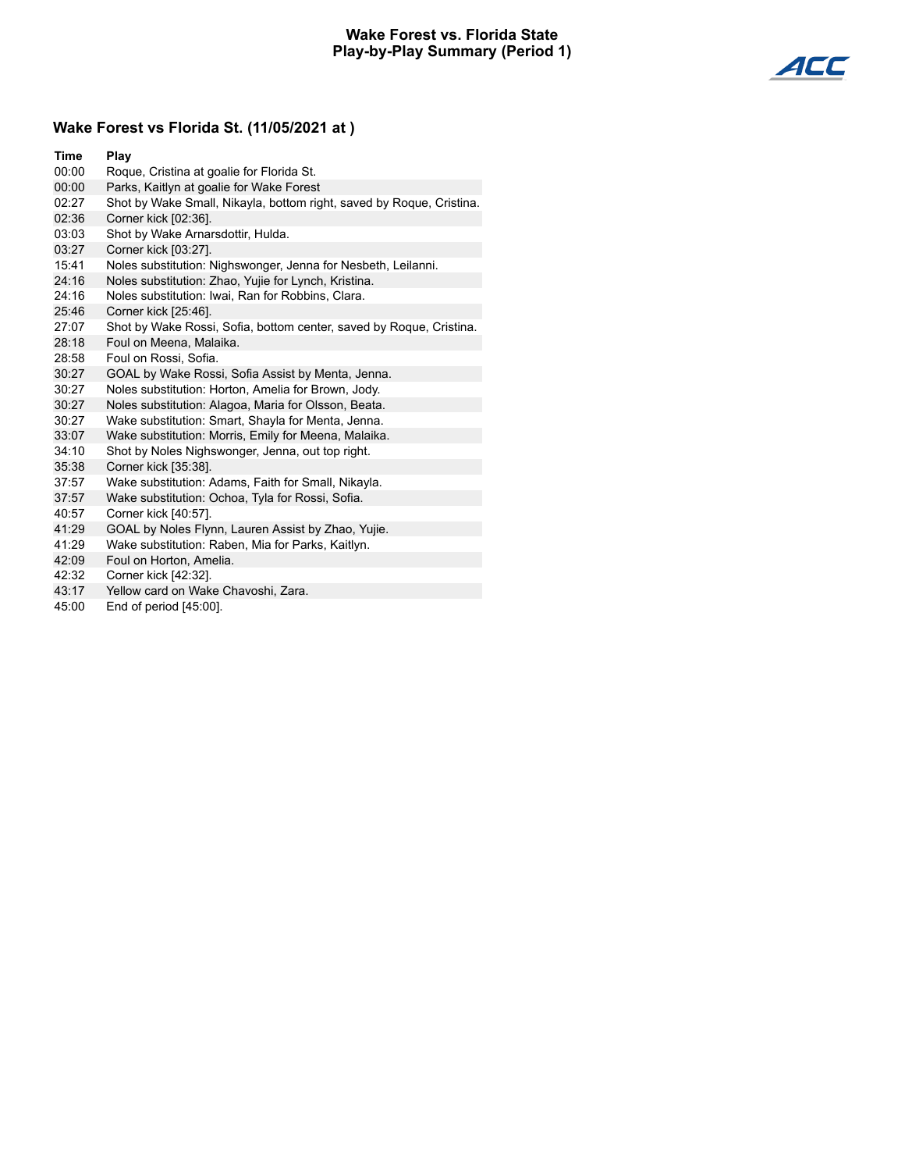## **Wake Forest vs. Florida State Play-by-Play Summary (Period 1)**



# **Wake Forest vs Florida St. (11/05/2021 at )**

| Time  | Play                                                                 |
|-------|----------------------------------------------------------------------|
| 00:00 | Roque, Cristina at goalie for Florida St.                            |
| 00:00 | Parks, Kaitlyn at goalie for Wake Forest                             |
| 02:27 | Shot by Wake Small, Nikayla, bottom right, saved by Roque, Cristina. |
| 02:36 | Corner kick [02:36].                                                 |
| 03:03 | Shot by Wake Arnarsdottir, Hulda.                                    |
| 03:27 | Corner kick [03:27].                                                 |
| 15:41 | Noles substitution: Nighswonger, Jenna for Nesbeth, Leilanni.        |
| 24:16 | Noles substitution: Zhao, Yujie for Lynch, Kristina.                 |
| 24:16 | Noles substitution: Iwai, Ran for Robbins, Clara.                    |
| 25:46 | Corner kick [25:46].                                                 |
| 27:07 | Shot by Wake Rossi, Sofia, bottom center, saved by Roque, Cristina.  |
| 28:18 | Foul on Meena, Malaika.                                              |
| 28:58 | Foul on Rossi, Sofia.                                                |
| 30:27 | GOAL by Wake Rossi, Sofia Assist by Menta, Jenna.                    |
| 30:27 | Noles substitution: Horton, Amelia for Brown, Jody.                  |
| 30:27 | Noles substitution: Alagoa, Maria for Olsson, Beata.                 |
| 30:27 | Wake substitution: Smart, Shayla for Menta, Jenna.                   |
| 33:07 | Wake substitution: Morris, Emily for Meena, Malaika.                 |
| 34:10 | Shot by Noles Nighswonger, Jenna, out top right.                     |
| 35:38 | Corner kick [35:38].                                                 |
| 37:57 | Wake substitution: Adams, Faith for Small, Nikayla.                  |
| 37:57 | Wake substitution: Ochoa, Tyla for Rossi, Sofia.                     |
| 40:57 | Corner kick [40:57].                                                 |
| 41:29 | GOAL by Noles Flynn, Lauren Assist by Zhao, Yujie.                   |
| 41:29 | Wake substitution: Raben, Mia for Parks, Kaitlyn.                    |
| 42:09 | Foul on Horton, Amelia.                                              |

- 42:32 Corner kick [42:32].
- 43:17 Yellow card on Wake Chavoshi, Zara.
- 45:00 End of period [45:00].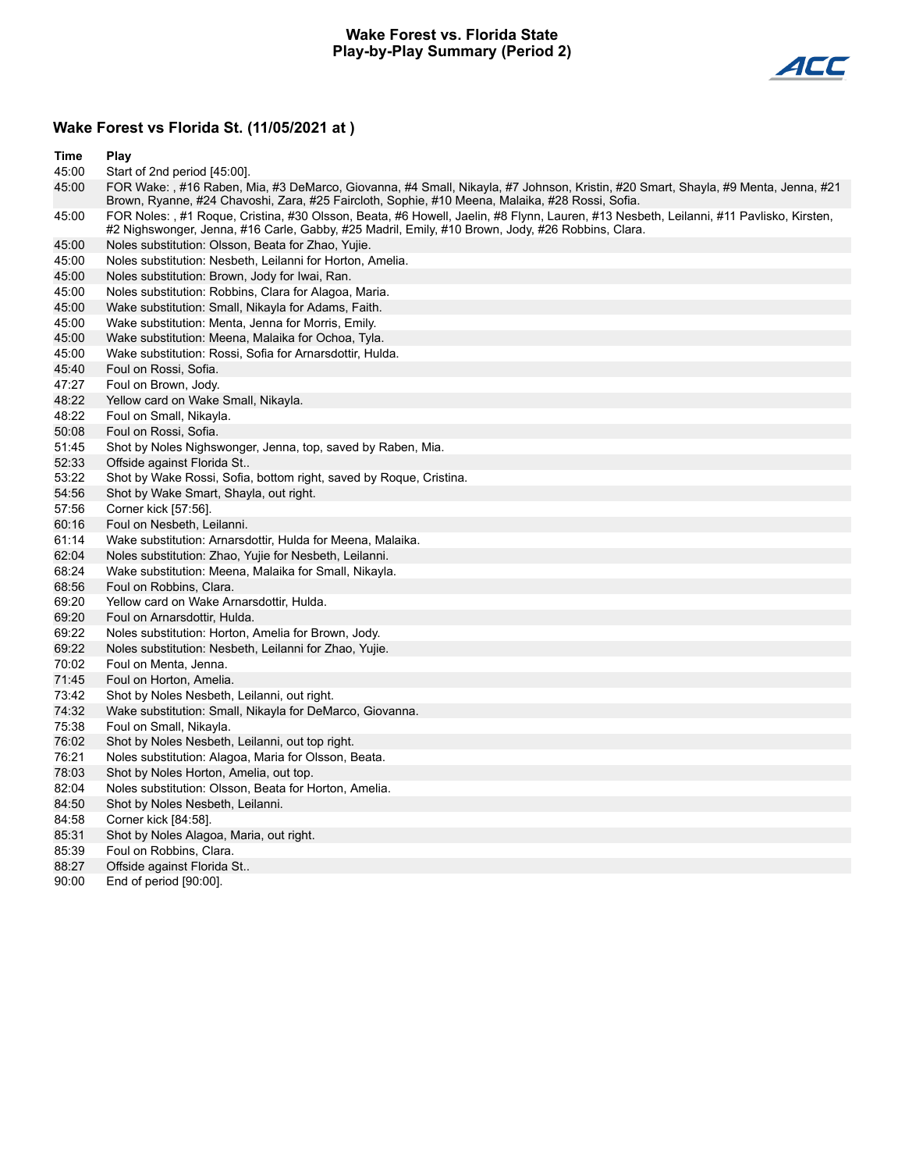#### **Wake Forest vs. Florida State Play-by-Play Summary (Period 2)**



# **Wake Forest vs Florida St. (11/05/2021 at )**

| <b>Time</b> | Play                                                                                                                                                                                                                                       |
|-------------|--------------------------------------------------------------------------------------------------------------------------------------------------------------------------------------------------------------------------------------------|
| 45:00       | Start of 2nd period [45:00].                                                                                                                                                                                                               |
| 45:00       | FOR Wake: , #16 Raben, Mia, #3 DeMarco, Giovanna, #4 Small, Nikayla, #7 Johnson, Kristin, #20 Smart, Shayla, #9 Menta, Jenna, #21<br>Brown, Ryanne, #24 Chavoshi, Zara, #25 Faircloth, Sophie, #10 Meena, Malaika, #28 Rossi, Sofia.       |
| 45:00       | FOR Noles: , #1 Roque, Cristina, #30 Olsson, Beata, #6 Howell, Jaelin, #8 Flynn, Lauren, #13 Nesbeth, Leilanni, #11 Pavlisko, Kirsten,<br>#2 Nighswonger, Jenna, #16 Carle, Gabby, #25 Madril, Emily, #10 Brown, Jody, #26 Robbins, Clara. |
| 45:00       | Noles substitution: Olsson, Beata for Zhao, Yujie.                                                                                                                                                                                         |
| 45:00       | Noles substitution: Nesbeth, Leilanni for Horton, Amelia.                                                                                                                                                                                  |
| 45:00       | Noles substitution: Brown, Jody for Iwai, Ran.                                                                                                                                                                                             |
| 45:00       | Noles substitution: Robbins, Clara for Alagoa, Maria.                                                                                                                                                                                      |
| 45:00       | Wake substitution: Small, Nikayla for Adams, Faith.                                                                                                                                                                                        |
| 45:00       | Wake substitution: Menta, Jenna for Morris, Emily.                                                                                                                                                                                         |
| 45:00       | Wake substitution: Meena, Malaika for Ochoa, Tyla.                                                                                                                                                                                         |
| 45:00       | Wake substitution: Rossi, Sofia for Arnarsdottir, Hulda.                                                                                                                                                                                   |
| 45:40       | Foul on Rossi, Sofia.                                                                                                                                                                                                                      |
| 47:27       | Foul on Brown, Jody.                                                                                                                                                                                                                       |
| 48:22       | Yellow card on Wake Small, Nikayla.                                                                                                                                                                                                        |
| 48:22       | Foul on Small, Nikayla.                                                                                                                                                                                                                    |
| 50:08       | Foul on Rossi, Sofia.                                                                                                                                                                                                                      |
| 51:45       | Shot by Noles Nighswonger, Jenna, top, saved by Raben, Mia.                                                                                                                                                                                |
| 52:33       | Offside against Florida St                                                                                                                                                                                                                 |
| 53:22       | Shot by Wake Rossi, Sofia, bottom right, saved by Roque, Cristina.                                                                                                                                                                         |
| 54:56       | Shot by Wake Smart, Shayla, out right.                                                                                                                                                                                                     |
| 57:56       | Corner kick [57:56].                                                                                                                                                                                                                       |
| 60:16       | Foul on Nesbeth, Leilanni.                                                                                                                                                                                                                 |
| 61:14       | Wake substitution: Arnarsdottir, Hulda for Meena, Malaika.                                                                                                                                                                                 |
| 62:04       | Noles substitution: Zhao, Yujie for Nesbeth, Leilanni.                                                                                                                                                                                     |
| 68:24       | Wake substitution: Meena, Malaika for Small, Nikayla.                                                                                                                                                                                      |
| 68:56       | Foul on Robbins, Clara.                                                                                                                                                                                                                    |
| 69:20       | Yellow card on Wake Arnarsdottir, Hulda.                                                                                                                                                                                                   |
| 69:20       | Foul on Arnarsdottir, Hulda.                                                                                                                                                                                                               |
| 69:22       | Noles substitution: Horton, Amelia for Brown, Jody.                                                                                                                                                                                        |
| 69:22       | Noles substitution: Nesbeth, Leilanni for Zhao, Yujie.                                                                                                                                                                                     |
| 70:02       | Foul on Menta, Jenna.                                                                                                                                                                                                                      |
| 71:45       | Foul on Horton, Amelia.                                                                                                                                                                                                                    |
| 73:42       | Shot by Noles Nesbeth, Leilanni, out right.                                                                                                                                                                                                |
| 74:32       | Wake substitution: Small, Nikayla for DeMarco, Giovanna.                                                                                                                                                                                   |
| 75:38       | Foul on Small, Nikayla.                                                                                                                                                                                                                    |
| 76:02       | Shot by Noles Nesbeth, Leilanni, out top right.                                                                                                                                                                                            |
| 76:21       | Noles substitution: Alagoa, Maria for Olsson, Beata.                                                                                                                                                                                       |
| 78:03       | Shot by Noles Horton, Amelia, out top.                                                                                                                                                                                                     |
| 82:04       | Noles substitution: Olsson, Beata for Horton, Amelia.                                                                                                                                                                                      |
| 84:50       | Shot by Noles Nesbeth, Leilanni.                                                                                                                                                                                                           |
| 84:58       | Corner kick [84:58].                                                                                                                                                                                                                       |
| 85:31       | Shot by Noles Alagoa, Maria, out right.                                                                                                                                                                                                    |
| 85:39       | Foul on Robbins, Clara.                                                                                                                                                                                                                    |
| 88:27       | Offside against Florida St                                                                                                                                                                                                                 |
| 90:00       | End of period [90:00].                                                                                                                                                                                                                     |